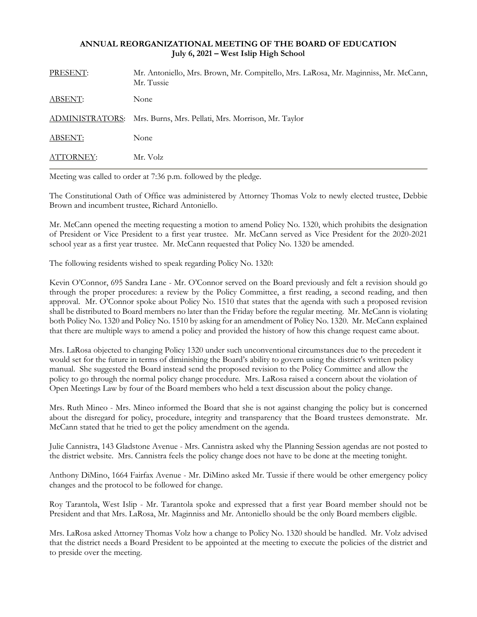## **ANNUAL REORGANIZATIONAL MEETING OF THE BOARD OF EDUCATION July 6, 2021 – West Islip High School**

| PRESENT:         | Mr. Antoniello, Mrs. Brown, Mr. Compitello, Mrs. LaRosa, Mr. Maginniss, Mr. McCann,<br>Mr. Tussie |
|------------------|---------------------------------------------------------------------------------------------------|
| <b>ABSENT:</b>   | None                                                                                              |
|                  | ADMINISTRATORS: Mrs. Burns, Mrs. Pellati, Mrs. Morrison, Mr. Taylor                               |
| <b>ABSENT:</b>   | None                                                                                              |
| <b>ATTORNEY:</b> | Mr. Volz                                                                                          |

Meeting was called to order at 7:36 p.m. followed by the pledge.

The Constitutional Oath of Office was administered by Attorney Thomas Volz to newly elected trustee, Debbie Brown and incumbent trustee, Richard Antoniello.

Mr. McCann opened the meeting requesting a motion to amend Policy No. 1320, which prohibits the designation of President or Vice President to a first year trustee. Mr. McCann served as Vice President for the 2020-2021 school year as a first year trustee. Mr. McCann requested that Policy No. 1320 be amended.

The following residents wished to speak regarding Policy No. 1320:

Kevin O'Connor, 695 Sandra Lane - Mr. O'Connor served on the Board previously and felt a revision should go through the proper procedures: a review by the Policy Committee, a first reading, a second reading, and then approval. Mr. O'Connor spoke about Policy No. 1510 that states that the agenda with such a proposed revision shall be distributed to Board members no later than the Friday before the regular meeting. Mr. McCann is violating both Policy No. 1320 and Policy No. 1510 by asking for an amendment of Policy No. 1320. Mr. McCann explained that there are multiple ways to amend a policy and provided the history of how this change request came about.

Mrs. LaRosa objected to changing Policy 1320 under such unconventional circumstances due to the precedent it would set for the future in terms of diminishing the Board's ability to govern using the district's written policy manual. She suggested the Board instead send the proposed revision to the Policy Committee and allow the policy to go through the normal policy change procedure. Mrs. LaRosa raised a concern about the violation of Open Meetings Law by four of the Board members who held a text discussion about the policy change.

Mrs. Ruth Mineo - Mrs. Mineo informed the Board that she is not against changing the policy but is concerned about the disregard for policy, procedure, integrity and transparency that the Board trustees demonstrate. Mr. McCann stated that he tried to get the policy amendment on the agenda.

Julie Cannistra, 143 Gladstone Avenue - Mrs. Cannistra asked why the Planning Session agendas are not posted to the district website. Mrs. Cannistra feels the policy change does not have to be done at the meeting tonight.

Anthony DiMino, 1664 Fairfax Avenue - Mr. DiMino asked Mr. Tussie if there would be other emergency policy changes and the protocol to be followed for change.

Roy Tarantola, West Islip - Mr. Tarantola spoke and expressed that a first year Board member should not be President and that Mrs. LaRosa, Mr. Maginniss and Mr. Antoniello should be the only Board members eligible.

Mrs. LaRosa asked Attorney Thomas Volz how a change to Policy No. 1320 should be handled. Mr. Volz advised that the district needs a Board President to be appointed at the meeting to execute the policies of the district and to preside over the meeting.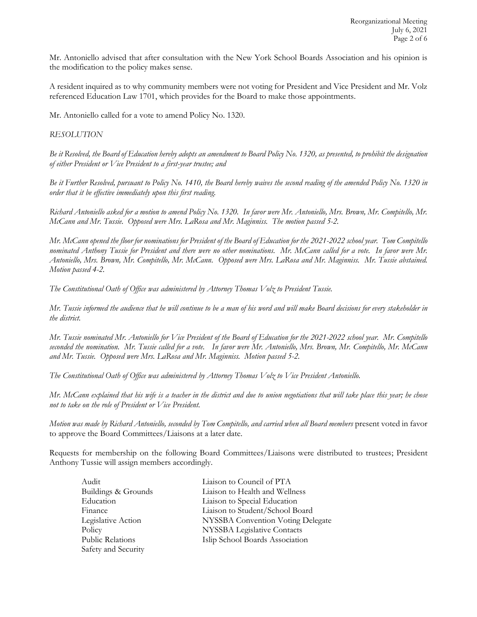Mr. Antoniello advised that after consultation with the New York School Boards Association and his opinion is the modification to the policy makes sense.

A resident inquired as to why community members were not voting for President and Vice President and Mr. Volz referenced Education Law 1701, which provides for the Board to make those appointments.

Mr. Antoniello called for a vote to amend Policy No. 1320.

## *RESOLUTION*

*Be it Resolved, the Board of Education hereby adopts an amendment to Board Policy No. 1320, as presented, to prohibit the designation of either President or Vice President to a first-year trustee; and*

*Be it Further Resolved, pursuant to Policy No. 1410, the Board hereby waives the second reading of the amended Policy No. 1320 in order that it be effective immediately upon this first reading.*

*Richard Antoniello asked for a motion to amend Policy No. 1320. In favor were Mr. Antoniello, Mrs. Brown, Mr. Compitello, Mr. McCann and Mr. Tussie. Opposed were Mrs. LaRosa and Mr. Maginniss. The motion passed 5-2.* 

*Mr. McCann opened the floor for nominations for President of the Board of Education for the 2021-2022 school year. Tom Compitello nominated Anthony Tussie for President and there were no other nominations. Mr. McCann called for a vote. In favor were Mr. Antoniello, Mrs. Brown, Mr. Compitello, Mr. McCann. Opposed were Mrs. LaRosa and Mr. Maginniss. Mr. Tussie abstained. Motion passed 4-2.* 

*The Constitutional Oath of Office was administered by Attorney Thomas Volz to President Tussie.*

*Mr. Tussie informed the audience that he will continue to be a man of his word and will make Board decisions for every stakeholder in the district.*

*Mr. Tussie nominated Mr. Antoniello for Vice President of the Board of Education for the 2021-2022 school year. Mr. Compitello seconded the nomination. Mr. Tussie called for a vote. In favor were Mr. Antoniello, Mrs. Brown, Mr. Compitello, Mr. McCann and Mr. Tussie. Opposed were Mrs. LaRosa and Mr. Maginniss. Motion passed 5-2.* 

*The Constitutional Oath of Office was administered by Attorney Thomas Volz to Vice President Antoniello.*

*Mr. McCann explained that his wife is a teacher in the district and due to union negotiations that will take place this year; he chose not to take on the role of President or Vice President.* 

*Motion was made by Richard Antoniello, seconded by Tom Compitello, and carried when all Board members* present voted in favor to approve the Board Committees/Liaisons at a later date.

Requests for membership on the following Board Committees/Liaisons were distributed to trustees; President Anthony Tussie will assign members accordingly.

Safety and Security

Audit Liaison to Council of PTA Buildings & Grounds Liaison to Health and Wellness Education Liaison to Special Education Finance Liaison to Student/School Board Legislative Action NYSSBA Convention Voting Delegate Policy NYSSBA Legislative Contacts<br>Public Relations Islip School Boards Associatio Islip School Boards Association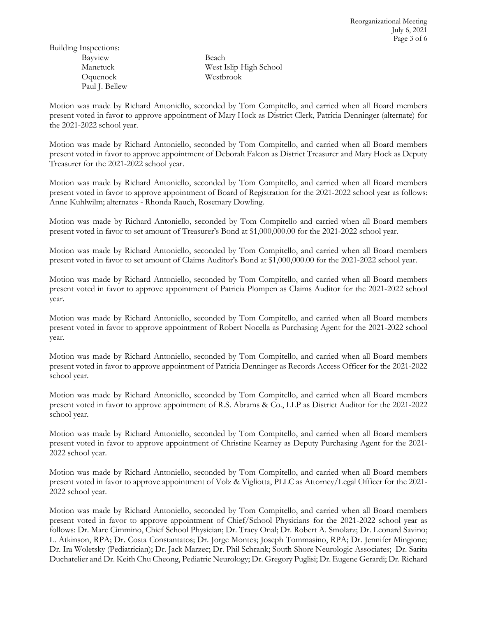Building Inspections: Bayview Beach Oquenock Westbrook Paul J. Bellew

Manetuck West Islip High School

Motion was made by Richard Antoniello, seconded by Tom Compitello, and carried when all Board members present voted in favor to approve appointment of Mary Hock as District Clerk, Patricia Denninger (alternate) for the 2021-2022 school year.

Motion was made by Richard Antoniello, seconded by Tom Compitello, and carried when all Board members present voted in favor to approve appointment of Deborah Falcon as District Treasurer and Mary Hock as Deputy Treasurer for the 2021-2022 school year.

Motion was made by Richard Antoniello, seconded by Tom Compitello, and carried when all Board members present voted in favor to approve appointment of Board of Registration for the 2021-2022 school year as follows: Anne Kuhlwilm; alternates - Rhonda Rauch, Rosemary Dowling.

Motion was made by Richard Antoniello, seconded by Tom Compitello and carried when all Board members present voted in favor to set amount of Treasurer's Bond at \$1,000,000.00 for the 2021-2022 school year.

Motion was made by Richard Antoniello, seconded by Tom Compitello, and carried when all Board members present voted in favor to set amount of Claims Auditor's Bond at \$1,000,000.00 for the 2021-2022 school year.

Motion was made by Richard Antoniello, seconded by Tom Compitello, and carried when all Board members present voted in favor to approve appointment of Patricia Plompen as Claims Auditor for the 2021-2022 school year.

Motion was made by Richard Antoniello, seconded by Tom Compitello, and carried when all Board members present voted in favor to approve appointment of Robert Nocella as Purchasing Agent for the 2021-2022 school year.

Motion was made by Richard Antoniello, seconded by Tom Compitello, and carried when all Board members present voted in favor to approve appointment of Patricia Denninger as Records Access Officer for the 2021-2022 school year.

Motion was made by Richard Antoniello, seconded by Tom Compitello, and carried when all Board members present voted in favor to approve appointment of R.S. Abrams & Co., LLP as District Auditor for the 2021-2022 school year.

Motion was made by Richard Antoniello, seconded by Tom Compitello, and carried when all Board members present voted in favor to approve appointment of Christine Kearney as Deputy Purchasing Agent for the 2021- 2022 school year.

Motion was made by Richard Antoniello, seconded by Tom Compitello, and carried when all Board members present voted in favor to approve appointment of Volz & Vigliotta, PLLC as Attorney/Legal Officer for the 2021- 2022 school year.

Motion was made by Richard Antoniello, seconded by Tom Compitello, and carried when all Board members present voted in favor to approve appointment of Chief/School Physicians for the 2021-2022 school year as follows: Dr. Marc Cimmino, Chief School Physician; Dr. Tracy Onal; Dr. Robert A. Smolarz; Dr. Leonard Savino; L. Atkinson, RPA; Dr. Costa Constantatos; Dr. Jorge Montes; Joseph Tommasino, RPA; Dr. Jennifer Mingione; Dr. Ira Woletsky (Pediatrician); Dr. Jack Marzec; Dr. Phil Schrank; South Shore Neurologic Associates; Dr. Sarita Duchatelier and Dr. Keith Chu Cheong, Pediatric Neurology; Dr. Gregory Puglisi; Dr. Eugene Gerardi; Dr. Richard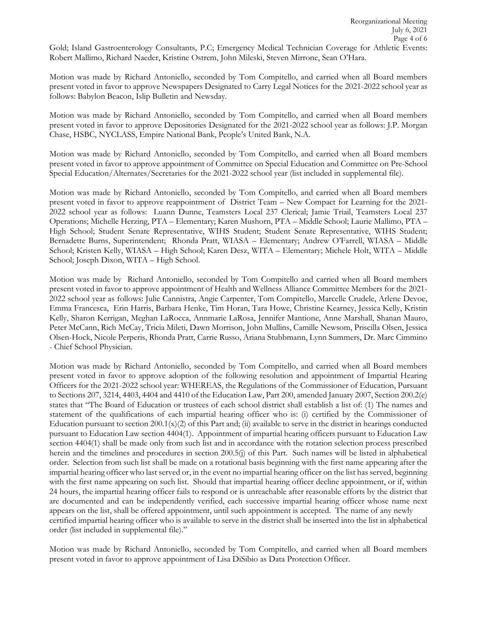Gold; Island Gastroenterology Consultants, P.C; Emergency Medical Technician Coverage for Athletic Events: Robert Mallimo, Richard Naeder, Kristine Ostrem, John Mileski, Steven Mirrone, Sean O'Hara.

Motion was made by Richard Antoniello, seconded by Tom Compitello, and carried when all Board members present voted in favor to approve Newspapers Designated to Carry Legal Notices for the 2021-2022 school year as follows: Babylon Beacon, Islip Bulletin and Newsday.

Motion was made by Richard Antoniello, seconded by Tom Compitello, and carried when all Board members present voted in favor to approve Depositories Designated for the 2021-2022 school year as follows: J.P. Morgan Chase, HSBC, NYCLASS, Empire National Bank, People's United Bank, N.A.

Motion was made by Richard Antoniello, seconded by Tom Compitello, and carried when all Board members present voted in favor to approve appointment of Committee on Special Education and Committee on Pre-School Special Education/Alternates/Secretaries for the 2021-2022 school year (list included in supplemental file).

Motion was made by Richard Antoniello, seconded by Tom Compitello, and carried when all Board members present voted in favor to approve reappointment of District Team – New Compact for Learning for the 2021- 2022 school year as follows: Luann Dunne, Teamsters Local 237 Clerical; Jamie Triail, Teamsters Local 237 Operations; Michelle Herzing, PTA – Elementary; Karen Mushorn, PTA – Middle School; Laurie Mallimo, PTA – High School; Student Senate Representative, WIHS Student; Student Senate Representative, WIHS Student; Bernadette Burns, Superintendent; Rhonda Pratt, WIASA – Elementary; Andrew O'Farrell, WIASA – Middle School; Kristen Kelly, WIASA – High School; Karen Desz, WITA – Elementary; Michele Holt, WITA – Middle School; Joseph Dixon, WITA – High School.

Motion was made by Richard Antoniello, seconded by Tom Compitello and carried when all Board members present voted in favor to approve appointment of Health and Wellness Alliance Committee Members for the 2021- 2022 school year as follows: Julie Cannistra, Angie Carpenter, Tom Compitello, Marcelle Crudele, Arlene Devoe, Emma Francesca, Erin Harris, Barbara Henke, Tim Horan, Tara Howe, Christine Kearney, Jessica Kelly, Kristin Kelly, Sharon Kerrigan, Meghan LaRocca, Annmarie LaRosa, Jennifer Mantione, Anne Marshall, Shanan Mauro, Peter McCann, Rich McCay, Tricia Mileti, Dawn Morrison, John Mullins, Camille Newsom, Priscilla Olsen, Jessica Olsen-Hock, Nicole Perperis, Rhonda Pratt, Carrie Russo, Ariana Stubbmann, Lynn Summers, Dr. Marc Cimmino - Chief School Physician*.*

Motion was made by Richard Antoniello, seconded by Tom Compitello, and carried when all Board members present voted in favor to approve adoption of the following resolution and appointment of Impartial Hearing Officers for the 2021-2022 school year: WHEREAS, the Regulations of the Commissioner of Education, Pursuant to Sections 207, 3214, 4403, 4404 and 4410 of the Education Law, Part 200, amended January 2007, Section 200.2(e) states that "The Board of Education or trustees of each school district shall establish a list of: (1) The names and statement of the qualifications of each impartial hearing officer who is: (i) certified by the Commissioner of Education pursuant to section  $200.1(x)(2)$  of this Part and; (ii) available to serve in the district in hearings conducted pursuant to Education Law section 4404(1). Appointment of impartial hearing officers pursuant to Education Law section 4404(1) shall be made only from such list and in accordance with the rotation selection process prescribed herein and the timelines and procedures in section 200.5(j) of this Part. Such names will be listed in alphabetical order. Selection from such list shall be made on a rotational basis beginning with the first name appearing after the impartial hearing officer who last served or, in the event no impartial hearing officer on the list has served, beginning with the first name appearing on such list. Should that impartial hearing officer decline appointment, or if, within 24 hours, the impartial hearing officer fails to respond or is unreachable after reasonable efforts by the district that are documented and can be independently verified, each successive impartial hearing officer whose name next appears on the list, shall be offered appointment, until such appointment is accepted. The name of any newly certified impartial hearing officer who is available to serve in the district shall be inserted into the list in alphabetical order (list included in supplemental file)."

Motion was made by Richard Antoniello, seconded by Tom Compitello, and carried when all Board members present voted in favor to approve appointment of Lisa DiSibio as Data Protection Officer.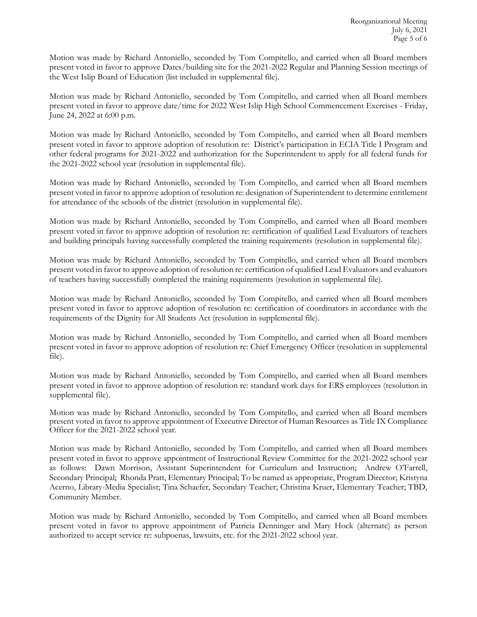Motion was made by Richard Antoniello, seconded by Tom Compitello, and carried when all Board members present voted in favor to approve Dates/building site for the 2021-2022 Regular and Planning Session meetings of the West Islip Board of Education (list included in supplemental file).

Motion was made by Richard Antoniello, seconded by Tom Compitello, and carried when all Board members present voted in favor to approve date/time for 2022 West Islip High School Commencement Exercises - Friday, June 24, 2022 at 6:00 p.m.

Motion was made by Richard Antoniello, seconded by Tom Compitello, and carried when all Board members present voted in favor to approve adoption of resolution re: District's participation in ECIA Title I Program and other federal programs for 2021-2022 and authorization for the Superintendent to apply for all federal funds for the 2021-2022 school year (resolution in supplemental file).

Motion was made by Richard Antoniello, seconded by Tom Compitello, and carried when all Board members present voted in favor to approve adoption of resolution re: designation of Superintendent to determine entitlement for attendance of the schools of the district (resolution in supplemental file).

Motion was made by Richard Antoniello, seconded by Tom Compitello, and carried when all Board members present voted in favor to approve adoption of resolution re: certification of qualified Lead Evaluators of teachers and building principals having successfully completed the training requirements (resolution in supplemental file).

Motion was made by Richard Antoniello, seconded by Tom Compitello, and carried when all Board members present voted in favor to approve adoption of resolution re: certification of qualified Lead Evaluators and evaluators of teachers having successfully completed the training requirements (resolution in supplemental file).

Motion was made by Richard Antoniello, seconded by Tom Compitello, and carried when all Board members present voted in favor to approve adoption of resolution re: certification of coordinators in accordance with the requirements of the Dignity for All Students Act (resolution in supplemental file).

Motion was made by Richard Antoniello, seconded by Tom Compitello, and carried when all Board members present voted in favor to approve adoption of resolution re: Chief Emergency Officer (resolution in supplemental file).

Motion was made by Richard Antoniello, seconded by Tom Compitello, and carried when all Board members present voted in favor to approve adoption of resolution re: standard work days for ERS employees (resolution in supplemental file).

Motion was made by Richard Antoniello, seconded by Tom Compitello, and carried when all Board members present voted in favor to approve appointment of Executive Director of Human Resources as Title IX Compliance Officer for the 2021-2022 school year.

Motion was made by Richard Antoniello, seconded by Tom Compitello, and carried when all Board members present voted in favor to approve appointment of Instructional Review Committee for the 2021-2022 school year as follows: Dawn Morrison, Assistant Superintendent for Curriculum and Instruction; Andrew O'Farrell, Secondary Principal; Rhonda Pratt, Elementary Principal; To be named as appropriate, Program Director; Kristyna Acerno, Library-Media Specialist; Tina Schaefer, Secondary Teacher; Christina Kruer, Elementary Teacher; TBD, Community Member.

Motion was made by Richard Antoniello, seconded by Tom Compitello, and carried when all Board members present voted in favor to approve appointment of Patricia Denninger and Mary Hock (alternate) as person authorized to accept service re: subpoenas, lawsuits, etc. for the 2021-2022 school year.